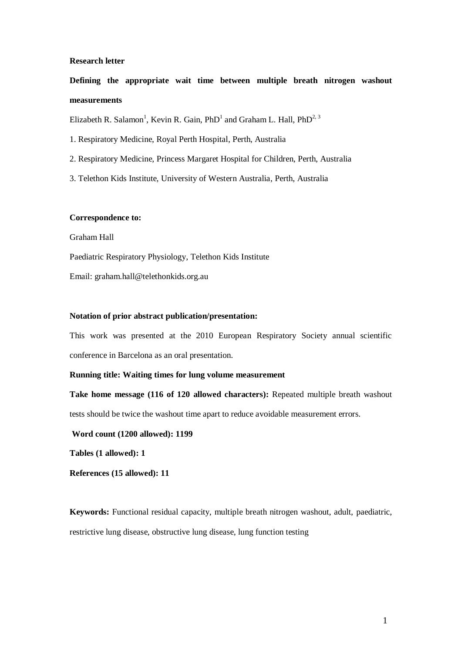## **Research letter**

**Defining the appropriate wait time between multiple breath nitrogen washout measurements**

Elizabeth R. Salamon<sup>1</sup>, Kevin R. Gain, PhD<sup>1</sup> and Graham L. Hall, PhD<sup>2, 3</sup>

1. Respiratory Medicine, Royal Perth Hospital, Perth, Australia

- 2. Respiratory Medicine, Princess Margaret Hospital for Children, Perth, Australia
- 3. Telethon Kids Institute, University of Western Australia, Perth, Australia

## **Correspondence to:**

Graham Hall

Paediatric Respiratory Physiology, Telethon Kids Institute

Email: graham.hall@telethonkids.org.au

## **Notation of prior abstract publication/presentation:**

This work was presented at the 2010 European Respiratory Society annual scientific conference in Barcelona as an oral presentation.

# **Running title: Waiting times for lung volume measurement**

**Take home message (116 of 120 allowed characters):** Repeated multiple breath washout tests should be twice the washout time apart to reduce avoidable measurement errors.

**Word count (1200 allowed): 1199**

**Tables (1 allowed): 1**

**References (15 allowed): 11**

**Keywords:** Functional residual capacity, multiple breath nitrogen washout, adult, paediatric, restrictive lung disease, obstructive lung disease, lung function testing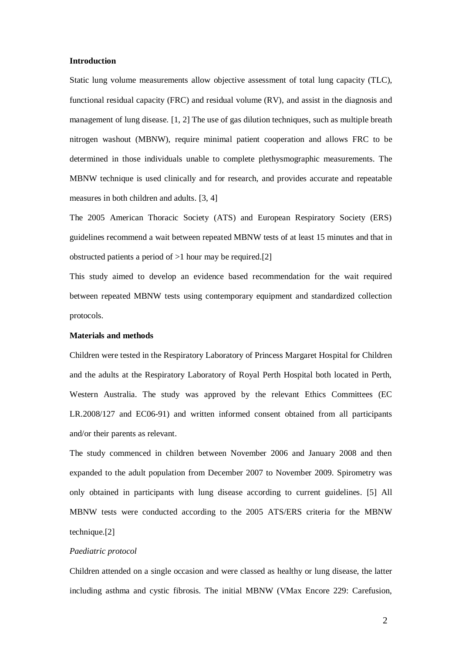## **Introduction**

Static lung volume measurements allow objective assessment of total lung capacity (TLC), functional residual capacity (FRC) and residual volume (RV), and assist in the diagnosis and management of lung disease. [\[1,](#page-5-0) [2\]](#page-5-1) The use of gas dilution techniques, such as multiple breath nitrogen washout (MBNW), require minimal patient cooperation and allows FRC to be determined in those individuals unable to complete plethysmographic measurements. The MBNW technique is used clinically and for research, and provides accurate and repeatable measures in both children and adults. [\[3,](#page-5-2) [4\]](#page-5-3)

The 2005 American Thoracic Society (ATS) and European Respiratory Society (ERS) guidelines recommend a wait between repeated MBNW tests of at least 15 minutes and that in obstructed patients a period of  $>1$  hour may be required.[\[2\]](#page-5-1)

This study aimed to develop an evidence based recommendation for the wait required between repeated MBNW tests using contemporary equipment and standardized collection protocols.

# **Materials and methods**

Children were tested in the Respiratory Laboratory of Princess Margaret Hospital for Children and the adults at the Respiratory Laboratory of Royal Perth Hospital both located in Perth, Western Australia. The study was approved by the relevant Ethics Committees (EC LR.2008/127 and EC06-91) and written informed consent obtained from all participants and/or their parents as relevant.

The study commenced in children between November 2006 and January 2008 and then expanded to the adult population from December 2007 to November 2009. Spirometry was only obtained in participants with lung disease according to current guidelines. [\[5\]](#page-5-4) All MBNW tests were conducted according to the 2005 ATS/ERS criteria for the MBNW technique.[\[2\]](#page-5-1)

## *Paediatric protocol*

Children attended on a single occasion and were classed as healthy or lung disease, the latter including asthma and cystic fibrosis. The initial MBNW (VMax Encore 229: Carefusion,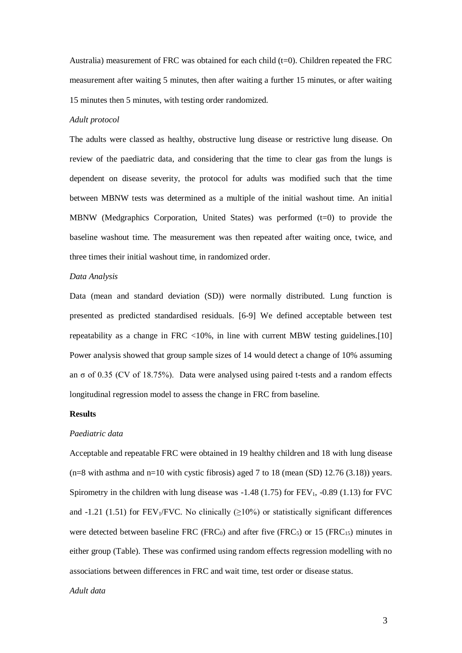Australia) measurement of FRC was obtained for each child  $(t=0)$ . Children repeated the FRC measurement after waiting 5 minutes, then after waiting a further 15 minutes, or after waiting 15 minutes then 5 minutes, with testing order randomized.

#### *Adult protocol*

The adults were classed as healthy, obstructive lung disease or restrictive lung disease. On review of the paediatric data, and considering that the time to clear gas from the lungs is dependent on disease severity, the protocol for adults was modified such that the time between MBNW tests was determined as a multiple of the initial washout time. An initial MBNW (Medgraphics Corporation, United States) was performed  $(t=0)$  to provide the baseline washout time. The measurement was then repeated after waiting once, twice, and three times their initial washout time, in randomized order.

### *Data Analysis*

Data (mean and standard deviation (SD)) were normally distributed. Lung function is presented as predicted standardised residuals. [\[6-9\]](#page-5-5) We defined acceptable between test repeatability as a change in FRC  $\langle 10\% \rangle$ , in line with current MBW testing guidelines. [\[10\]](#page-5-6) Power analysis showed that group sample sizes of 14 would detect a change of 10% assuming an  $\sigma$  of 0.35 (CV of 18.75%). Data were analysed using paired t-tests and a random effects longitudinal regression model to assess the change in FRC from baseline.

# **Results**

## *Paediatric data*

Acceptable and repeatable FRC were obtained in 19 healthy children and 18 with lung disease  $(n=8 \text{ with a sthma and } n=10 \text{ with cystic fibrosis})$  aged 7 to 18 (mean (SD) 12.76 (3.18)) years. Spirometry in the children with lung disease was  $-1.48$  (1.75) for FEV<sub>1</sub>,  $-0.89$  (1.13) for FVC and -1.21 (1.51) for FEV<sub>1</sub>/FVC. No clinically  $(\geq 10\%)$  or statistically significant differences were detected between baseline FRC (FRC<sub>0</sub>) and after five (FRC<sub>5</sub>) or 15 (FRC<sub>15</sub>) minutes in either group (Table). These was confirmed using random effects regression modelling with no associations between differences in FRC and wait time, test order or disease status.

# *Adult data*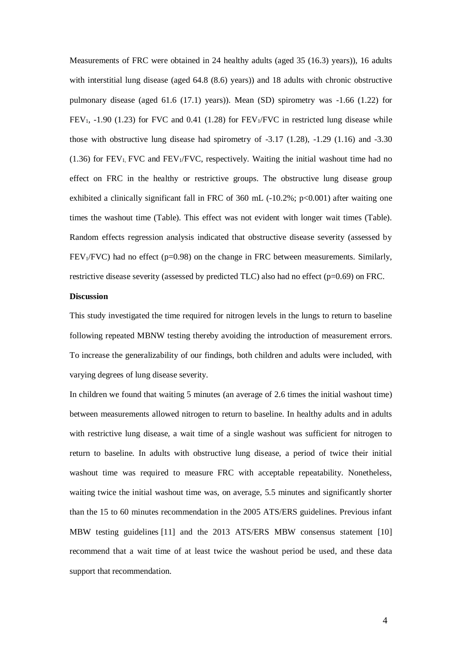Measurements of FRC were obtained in 24 healthy adults (aged 35 (16.3) years)), 16 adults with interstitial lung disease (aged 64.8 (8.6) years)) and 18 adults with chronic obstructive pulmonary disease (aged  $61.6$  (17.1) years)). Mean (SD) spirometry was  $-1.66$  (1.22) for  $FEV<sub>1</sub>$ , -1.90 (1.23) for FVC and 0.41 (1.28) for FEV<sub>1</sub>/FVC in restricted lung disease while those with obstructive lung disease had spirometry of  $-3.17$  (1.28),  $-1.29$  (1.16) and  $-3.30$  $(1.36)$  for FEV<sub>1</sub>, FVC and FEV<sub>1</sub>/FVC, respectively. Waiting the initial washout time had no effect on FRC in the healthy or restrictive groups. The obstructive lung disease group exhibited a clinically significant fall in FRC of 360 mL  $(-10.2\%; p<0.001)$  after waiting one times the washout time (Table). This effect was not evident with longer wait times (Table). Random effects regression analysis indicated that obstructive disease severity (assessed by  $FEV<sub>1</sub>/FVC$ ) had no effect (p=0.98) on the change in FRC between measurements. Similarly, restrictive disease severity (assessed by predicted TLC) also had no effect (p=0.69) on FRC.

## **Discussion**

This study investigated the time required for nitrogen levels in the lungs to return to baseline following repeated MBNW testing thereby avoiding the introduction of measurement errors. To increase the generalizability of our findings, both children and adults were included, with varying degrees of lung disease severity.

In children we found that waiting 5 minutes (an average of 2.6 times the initial washout time) between measurements allowed nitrogen to return to baseline. In healthy adults and in adults with restrictive lung disease, a wait time of a single washout was sufficient for nitrogen to return to baseline. In adults with obstructive lung disease, a period of twice their initial washout time was required to measure FRC with acceptable repeatability. Nonetheless, waiting twice the initial washout time was, on average, 5.5 minutes and significantly shorter than the 15 to 60 minutes recommendation in the 2005 ATS/ERS guidelines. Previous infant MBW testing guidelines [\[11\]](#page-5-7) and the 2013 ATS/ERS MBW consensus statement [\[10\]](#page-5-6) recommend that a wait time of at least twice the washout period be used, and these data support that recommendation.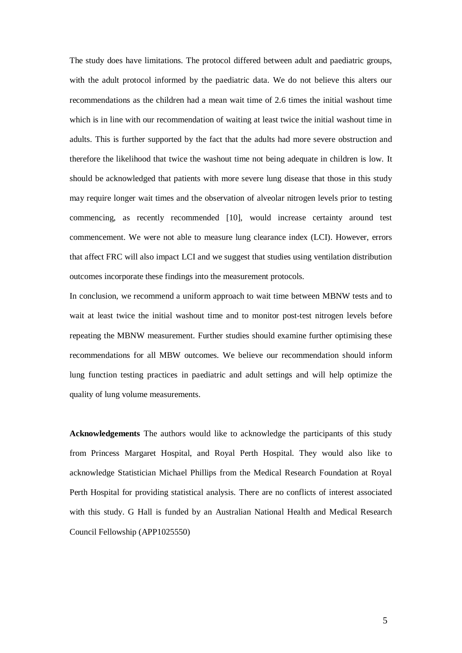The study does have limitations. The protocol differed between adult and paediatric groups, with the adult protocol informed by the paediatric data. We do not believe this alters our recommendations as the children had a mean wait time of 2.6 times the initial washout time which is in line with our recommendation of waiting at least twice the initial washout time in adults. This is further supported by the fact that the adults had more severe obstruction and therefore the likelihood that twice the washout time not being adequate in children is low. It should be acknowledged that patients with more severe lung disease that those in this study may require longer wait times and the observation of alveolar nitrogen levels prior to testing commencing, as recently recommended [\[10\]](#page-5-6), would increase certainty around test commencement. We were not able to measure lung clearance index (LCI). However, errors that affect FRC will also impact LCI and we suggest that studies using ventilation distribution outcomes incorporate these findings into the measurement protocols.

In conclusion, we recommend a uniform approach to wait time between MBNW tests and to wait at least twice the initial washout time and to monitor post-test nitrogen levels before repeating the MBNW measurement. Further studies should examine further optimising these recommendations for all MBW outcomes. We believe our recommendation should inform lung function testing practices in paediatric and adult settings and will help optimize the quality of lung volume measurements.

**Acknowledgements** The authors would like to acknowledge the participants of this study from Princess Margaret Hospital, and Royal Perth Hospital. They would also like to acknowledge Statistician Michael Phillips from the Medical Research Foundation at Royal Perth Hospital for providing statistical analysis. There are no conflicts of interest associated with this study. G Hall is funded by an Australian National Health and Medical Research Council Fellowship (APP1025550)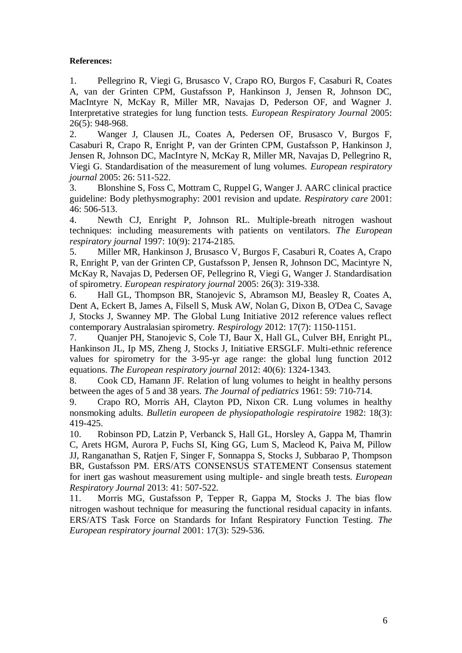# **References:**

<span id="page-5-0"></span>1. Pellegrino R, Viegi G, Brusasco V, Crapo RO, Burgos F, Casaburi R, Coates A, van der Grinten CPM, Gustafsson P, Hankinson J, Jensen R, Johnson DC, MacIntyre N, McKay R, Miller MR, Navajas D, Pederson OF, and Wagner J. Interpretative strategies for lung function tests. *European Respiratory Journal* 2005: 26(5): 948-968.

<span id="page-5-1"></span>2. Wanger J, Clausen JL, Coates A, Pedersen OF, Brusasco V, Burgos F, Casaburi R, Crapo R, Enright P, van der Grinten CPM, Gustafsson P, Hankinson J, Jensen R, Johnson DC, MacIntyre N, McKay R, Miller MR, Navajas D, Pellegrino R, Viegi G. Standardisation of the measurement of lung volumes. *European respiratory journal* 2005: 26: 511-522.

<span id="page-5-2"></span>3. Blonshine S, Foss C, Mottram C, Ruppel G, Wanger J. AARC clinical practice guideline: Body plethysmography: 2001 revision and update. *Respiratory care* 2001: 46: 506-513.

<span id="page-5-3"></span>4. Newth CJ, Enright P, Johnson RL. Multiple-breath nitrogen washout techniques: including measurements with patients on ventilators. *The European respiratory journal* 1997: 10(9): 2174-2185.

<span id="page-5-4"></span>5. Miller MR, Hankinson J, Brusasco V, Burgos F, Casaburi R, Coates A, Crapo R, Enright P, van der Grinten CP, Gustafsson P, Jensen R, Johnson DC, Macintyre N, McKay R, Navajas D, Pedersen OF, Pellegrino R, Viegi G, Wanger J. Standardisation of spirometry. *European respiratory journal* 2005: 26(3): 319-338.

<span id="page-5-5"></span>6. Hall GL, Thompson BR, Stanojevic S, Abramson MJ, Beasley R, Coates A, Dent A, Eckert B, James A, Filsell S, Musk AW, Nolan G, Dixon B, O'Dea C, Savage J, Stocks J, Swanney MP. The Global Lung Initiative 2012 reference values reflect contemporary Australasian spirometry. *Respirology* 2012: 17(7): 1150-1151.

7. Quanjer PH, Stanojevic S, Cole TJ, Baur X, Hall GL, Culver BH, Enright PL, Hankinson JL, Ip MS, Zheng J, Stocks J, Initiative ERSGLF. Multi-ethnic reference values for spirometry for the 3-95-yr age range: the global lung function 2012 equations. *The European respiratory journal* 2012: 40(6): 1324-1343.

8. Cook CD, Hamann JF. Relation of lung volumes to height in healthy persons between the ages of 5 and 38 years. *The Journal of pediatrics* 1961: 59: 710-714.

9. Crapo RO, Morris AH, Clayton PD, Nixon CR. Lung volumes in healthy nonsmoking adults. *Bulletin europeen de physiopathologie respiratoire* 1982: 18(3): 419-425.

<span id="page-5-6"></span>10. Robinson PD, Latzin P, Verbanck S, Hall GL, Horsley A, Gappa M, Thamrin C, Arets HGM, Aurora P, Fuchs SI, King GG, Lum S, Macleod K, Paiva M, Pillow JJ, Ranganathan S, Ratjen F, Singer F, Sonnappa S, Stocks J, Subbarao P, Thompson BR, Gustafsson PM. ERS/ATS CONSENSUS STATEMENT Consensus statement for inert gas washout measurement using multiple- and single breath tests. *European Respiratory Journal* 2013: 41: 507-522.

<span id="page-5-7"></span>11. Morris MG, Gustafsson P, Tepper R, Gappa M, Stocks J. The bias flow nitrogen washout technique for measuring the functional residual capacity in infants. ERS/ATS Task Force on Standards for Infant Respiratory Function Testing. *The European respiratory journal* 2001: 17(3): 529-536.